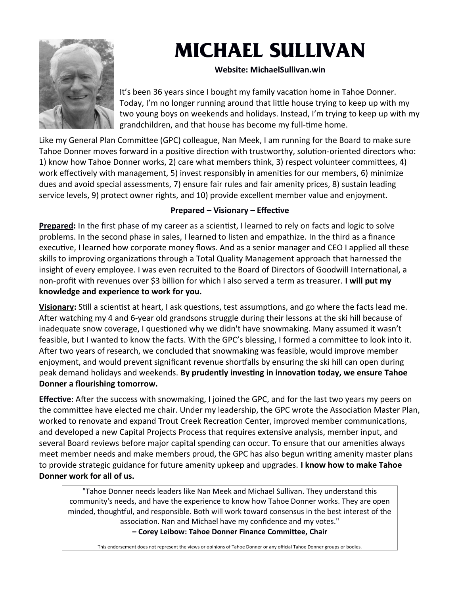

# **MICHAEL SULLIVAN**

### **Website: MichaelSullivan.win**

It's been 36 years since I bought my family vacation home in Tahoe Donner. Today, I'm no longer running around that little house trying to keep up with my two young boys on weekends and holidays. Instead, I'm trying to keep up with my grandchildren, and that house has become my full-time home.

Like my General Plan Committee (GPC) colleague, Nan Meek, I am running for the Board to make sure Tahoe Donner moves forward in a positive direction with trustworthy, solution-oriented directors who: 1) know how Tahoe Donner works, 2) care what members think, 3) respect volunteer committees, 4) work effectively with management, 5) invest responsibly in amenities for our members, 6) minimize dues and avoid special assessments, 7) ensure fair rules and fair amenity prices, 8) sustain leading service levels, 9) protect owner rights, and 10) provide excellent member value and enjoyment.

### **Prepared – Visionary – Effective**

**Prepared:** In the first phase of my career as a scientist, I learned to rely on facts and logic to solve problems. In the second phase in sales, I learned to listen and empathize. In the third as a finance executive, I learned how corporate money flows. And as a senior manager and CEO I applied all these skills to improving organizations through a Total Quality Management approach that harnessed the insight of every employee. I was even recruited to the Board of Directors of Goodwill International, a non-profit with revenues over \$3 billion for which I also served a term as treasurer. **I will put my knowledge and experience to work for you.**

**Visionary:** Still a scientist at heart, I ask questions, test assumptions, and go where the facts lead me. After watching my 4 and 6-year old grandsons struggle during their lessons at the ski hill because of inadequate snow coverage, I questioned why we didn't have snowmaking. Many assumed it wasn't feasible, but I wanted to know the facts. With the GPC's blessing, I formed a committee to look into it. After two years of research, we concluded that snowmaking was feasible, would improve member enjoyment, and would prevent significant revenue shortfalls by ensuring the ski hill can open during peak demand holidays and weekends. **By prudently investing in innovation today, we ensure Tahoe Donner a flourishing tomorrow.** 

**Effective**: After the success with snowmaking, I joined the GPC, and for the last two years my peers on the committee have elected me chair. Under my leadership, the GPC wrote the Association Master Plan, worked to renovate and expand Trout Creek Recreation Center, improved member communications, and developed a new Capital Projects Process that requires extensive analysis, member input, and several Board reviews before major capital spending can occur. To ensure that our amenities always meet member needs and make members proud, the GPC has also begun writing amenity master plans to provide strategic guidance for future amenity upkeep and upgrades. **I know how to make Tahoe Donner work for all of us.**

"Tahoe Donner needs leaders like Nan Meek and Michael Sullivan. They understand this community's needs, and have the experience to know how Tahoe Donner works. They are open minded, thoughtful, and responsible. Both will work toward consensus in the best interest of the association. Nan and Michael have my confidence and my votes." **– Corey Leibow: Tahoe Donner Finance Committee, Chair**

This endorsement does not represent the views or opinions of Tahoe Donner or any official Tahoe Donner groups or bodies.